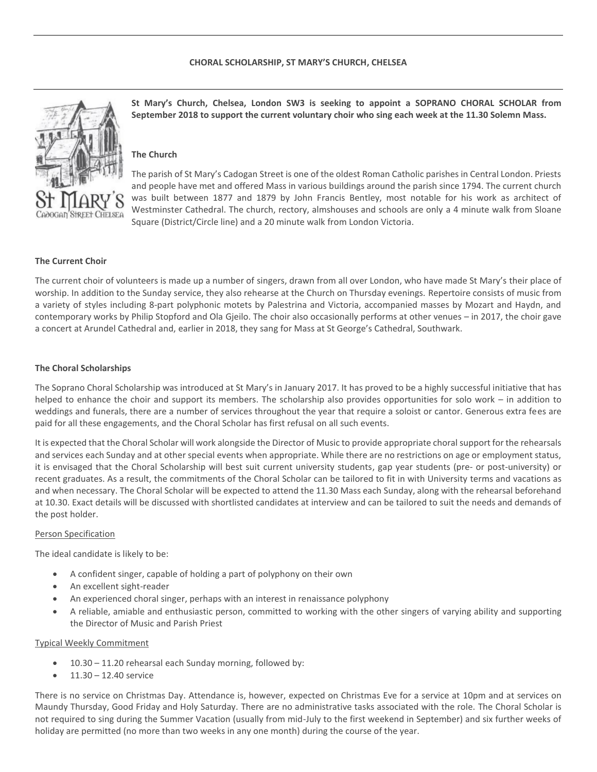

**St Mary's Church, Chelsea, London SW3 is seeking to appoint a SOPRANO CHORAL SCHOLAR from September 2018 to support the current voluntary choir who sing each week at the 11.30 Solemn Mass.**

# **The Church**

The parish of St Mary's Cadogan Street is one of the oldest Roman Catholic parishes in Central London. Priests and people have met and offered Mass in various buildings around the parish since 1794. The current church was built between 1877 and 1879 by John Francis Bentley, most notable for his work as architect of Westminster Cathedral. The church, rectory, almshouses and schools are only a 4 minute walk from Sloane Square (District/Circle line) and a 20 minute walk from London Victoria.

# **The Current Choir**

The current choir of volunteers is made up a number of singers, drawn from all over London, who have made St Mary's their place of worship. In addition to the Sunday service, they also rehearse at the Church on Thursday evenings. Repertoire consists of music from a variety of styles including 8-part polyphonic motets by Palestrina and Victoria, accompanied masses by Mozart and Haydn, and contemporary works by Philip Stopford and Ola Gjeilo. The choir also occasionally performs at other venues – in 2017, the choir gave a concert at Arundel Cathedral and, earlier in 2018, they sang for Mass at St George's Cathedral, Southwark.

### **The Choral Scholarships**

The Soprano Choral Scholarship was introduced at St Mary's in January 2017. It has proved to be a highly successful initiative that has helped to enhance the choir and support its members. The scholarship also provides opportunities for solo work – in addition to weddings and funerals, there are a number of services throughout the year that require a soloist or cantor. Generous extra fees are paid for all these engagements, and the Choral Scholar has first refusal on all such events.

It is expected that the Choral Scholar will work alongside the Director of Music to provide appropriate choral support for the rehearsals and services each Sunday and at other special events when appropriate. While there are no restrictions on age or employment status, it is envisaged that the Choral Scholarship will best suit current university students, gap year students (pre- or post-university) or recent graduates. As a result, the commitments of the Choral Scholar can be tailored to fit in with University terms and vacations as and when necessary. The Choral Scholar will be expected to attend the 11.30 Mass each Sunday, along with the rehearsal beforehand at 10.30. Exact details will be discussed with shortlisted candidates at interview and can be tailored to suit the needs and demands of the post holder.

#### Person Specification

The ideal candidate is likely to be:

- A confident singer, capable of holding a part of polyphony on their own
- An excellent sight-reader
- An experienced choral singer, perhaps with an interest in renaissance polyphony
- A reliable, amiable and enthusiastic person, committed to working with the other singers of varying ability and supporting the Director of Music and Parish Priest

### Typical Weekly Commitment

- 10.30 11.20 rehearsal each Sunday morning, followed by:
- $-11.30 12.40$  service

There is no service on Christmas Day. Attendance is, however, expected on Christmas Eve for a service at 10pm and at services on Maundy Thursday, Good Friday and Holy Saturday. There are no administrative tasks associated with the role. The Choral Scholar is not required to sing during the Summer Vacation (usually from mid-July to the first weekend in September) and six further weeks of holiday are permitted (no more than two weeks in any one month) during the course of the year.